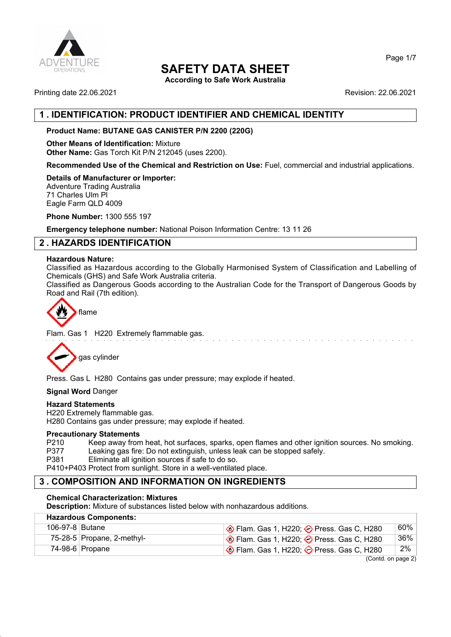

**According to Safe Work Australia**

Printing date 22.06.2021 **Revision: 22.06.2021** 

# **1 . IDENTIFICATION: PRODUCT IDENTIFIER AND CHEMICAL IDENTITY**

# **Product Name: BUTANE GAS CANISTER P/N 2200 (220G)**

**Other Means of Identification:** Mixture **Other Name:** Gas Torch Kit P/N 212045 (uses 2200).

**Recommended Use of the Chemical and Restriction on Use:** Fuel, commercial and industrial applications.

**Details of Manufacturer or Importer:**

Adventure Trading Australia 71 Charles Ulm Pl Eagle Farm QLD 4009

**Phone Number:** 1300 555 197

**Emergency telephone number:** National Poison Information Centre: 13 11 26

# **2 . HAZARDS IDENTIFICATION**

### **Hazardous Nature:**

Classified as Hazardous according to the Globally Harmonised System of Classification and Labelling of Chemicals (GHS) and Safe Work Australia criteria.

Classified as Dangerous Goods according to the Australian Code for the Transport of Dangerous Goods by Road and Rail (7th edition).



Flam. Gas 1 H220 Extremely flammable gas.



Press. Gas L H280 Contains gas under pressure; may explode if heated.

**Signal Word** Danger

#### **Hazard Statements**

H220 Extremely flammable gas. H280 Contains gas under pressure; may explode if heated.

## **Precautionary Statements**

P210 Keep away from heat, hot surfaces, sparks, open flames and other ignition sources. No smoking.<br>P377 Leaking gas fire: Do not extinguish, unless leak can be stopped safely. Leaking gas fire: Do not extinguish, unless leak can be stopped safely.

P381 Eliminate all ignition sources if safe to do so.

P410+P403 Protect from sunlight. Store in a well-ventilated place.

# **3 . COMPOSITION AND INFORMATION ON INGREDIENTS**

## **Chemical Characterization: Mixtures**

**Description:** Mixture of substances listed below with nonhazardous additions.

| <b>Hazardous Components:</b> |                            |                                                           |     |  |
|------------------------------|----------------------------|-----------------------------------------------------------|-----|--|
| 106-97-8 Butane              |                            | $\circ$ Flam. Gas 1, H220; $\circ$ Press. Gas C, H280     | 60% |  |
|                              | 75-28-5 Propane, 2-methyl- | <b>♦ Flam. Gas 1, H220; ♦ Press. Gas C, H280</b>          | 36% |  |
|                              | 74-98-6 Propane            | $\otimes$ Flam. Gas 1, H220; $\otimes$ Press. Gas C, H280 | 2%  |  |
|                              |                            | $(0 \text{ and } \text{ are } \text{).}$                  |     |  |

(Contd. on page 2)

Page 1/7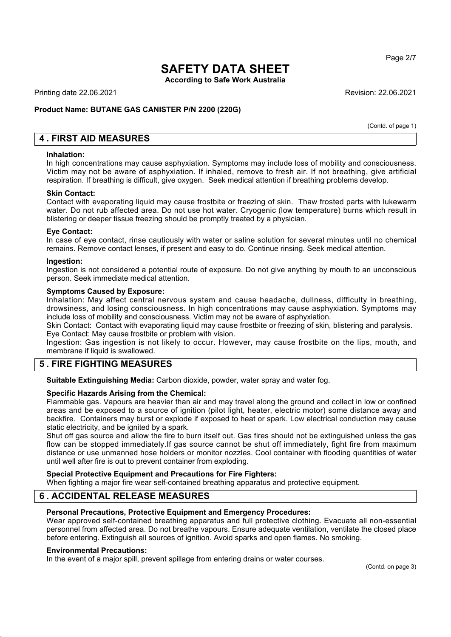**According to Safe Work Australia**

Printing date 22.06.2021 Revision: 22.06.2021

## **Product Name: BUTANE GAS CANISTER P/N 2200 (220G)**

(Contd. of page 1)

Page 2/7

# **4 . FIRST AID MEASURES**

#### **Inhalation:**

In high concentrations may cause asphyxiation. Symptoms may include loss of mobility and consciousness. Victim may not be aware of asphyxiation. If inhaled, remove to fresh air. If not breathing, give artificial respiration. If breathing is difficult, give oxygen. Seek medical attention if breathing problems develop.

#### **Skin Contact:**

Contact with evaporating liquid may cause frostbite or freezing of skin. Thaw frosted parts with lukewarm water. Do not rub affected area. Do not use hot water. Cryogenic (low temperature) burns which result in blistering or deeper tissue freezing should be promptly treated by a physician.

### **Eye Contact:**

In case of eye contact, rinse cautiously with water or saline solution for several minutes until no chemical remains. Remove contact lenses, if present and easy to do. Continue rinsing. Seek medical attention.

#### **Ingestion:**

Ingestion is not considered a potential route of exposure. Do not give anything by mouth to an unconscious person. Seek immediate medical attention.

#### **Symptoms Caused by Exposure:**

Inhalation: May affect central nervous system and cause headache, dullness, difficulty in breathing, drowsiness, and losing consciousness. In high concentrations may cause asphyxiation. Symptoms may include loss of mobility and consciousness. Victim may not be aware of asphyxiation.

Skin Contact: Contact with evaporating liquid may cause frostbite or freezing of skin, blistering and paralysis. Eye Contact: May cause frostbite or problem with vision.

Ingestion: Gas ingestion is not likely to occur. However, may cause frostbite on the lips, mouth, and membrane if liquid is swallowed.

# **5 . FIRE FIGHTING MEASURES**

**Suitable Extinguishing Media:** Carbon dioxide, powder, water spray and water fog.

#### **Specific Hazards Arising from the Chemical:**

Flammable gas. Vapours are heavier than air and may travel along the ground and collect in low or confined areas and be exposed to a source of ignition (pilot light, heater, electric motor) some distance away and backfire. Containers may burst or explode if exposed to heat or spark. Low electrical conduction may cause static electricity, and be ignited by a spark.

Shut off gas source and allow the fire to burn itself out. Gas fires should not be extinguished unless the gas flow can be stopped immediately.If gas source cannot be shut off immediately, fight fire from maximum distance or use unmanned hose holders or monitor nozzles. Cool container with flooding quantities of water until well after fire is out to prevent container from exploding.

# **Special Protective Equipment and Precautions for Fire Fighters:**

When fighting a major fire wear self-contained breathing apparatus and protective equipment.

# **6 . ACCIDENTAL RELEASE MEASURES**

#### **Personal Precautions, Protective Equipment and Emergency Procedures:**

Wear approved self-contained breathing apparatus and full protective clothing. Evacuate all non-essential personnel from affected area. Do not breathe vapours. Ensure adequate ventilation, ventilate the closed place before entering. Extinguish all sources of ignition. Avoid sparks and open flames. No smoking.

#### **Environmental Precautions:**

In the event of a major spill, prevent spillage from entering drains or water courses.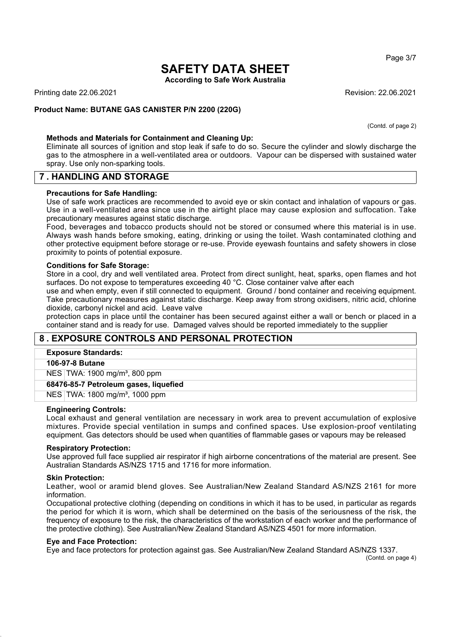**According to Safe Work Australia**

Printing date 22.06.2021 Revision: 22.06.2021

### **Product Name: BUTANE GAS CANISTER P/N 2200 (220G)**

(Contd. of page 2)

#### **Methods and Materials for Containment and Cleaning Up:**

Eliminate all sources of ignition and stop leak if safe to do so. Secure the cylinder and slowly discharge the gas to the atmosphere in a well-ventilated area or outdoors. Vapour can be dispersed with sustained water spray. Use only non-sparking tools.

## **7 . HANDLING AND STORAGE**

#### **Precautions for Safe Handling:**

Use of safe work practices are recommended to avoid eye or skin contact and inhalation of vapours or gas. Use in a well-ventilated area since use in the airtight place may cause explosion and suffocation. Take precautionary measures against static discharge.

Food, beverages and tobacco products should not be stored or consumed where this material is in use. Always wash hands before smoking, eating, drinking or using the toilet. Wash contaminated clothing and other protective equipment before storage or re-use. Provide eyewash fountains and safety showers in close proximity to points of potential exposure.

#### **Conditions for Safe Storage:**

Store in a cool, dry and well ventilated area. Protect from direct sunlight, heat, sparks, open flames and hot surfaces. Do not expose to temperatures exceeding 40 °C. Close container valve after each

use and when empty, even if still connected to equipment. Ground / bond container and receiving equipment. Take precautionary measures against static discharge. Keep away from strong oxidisers, nitric acid, chlorine dioxide, carbonyl nickel and acid. Leave valve

protection caps in place until the container has been secured against either a wall or bench or placed in a container stand and is ready for use. Damaged valves should be reported immediately to the supplier

# **8 . EXPOSURE CONTROLS AND PERSONAL PROTECTION**

#### **Exposure Standards:**

#### **106-97-8 Butane**

NES TWA: 1900 mg/m<sup>3</sup>, 800 ppm

**68476-85-7 Petroleum gases, liquefied**

NES TWA: 1800 mg/m³, 1000 ppm

#### **Engineering Controls:**

Local exhaust and general ventilation are necessary in work area to prevent accumulation of explosive mixtures. Provide special ventilation in sumps and confined spaces. Use explosion-proof ventilating equipment. Gas detectors should be used when quantities of flammable gases or vapours may be released

#### **Respiratory Protection:**

Use approved full face supplied air respirator if high airborne concentrations of the material are present. See Australian Standards AS/NZS 1715 and 1716 for more information.

#### **Skin Protection:**

Leather, wool or aramid blend gloves. See Australian/New Zealand Standard AS/NZS 2161 for more information.

Occupational protective clothing (depending on conditions in which it has to be used, in particular as regards the period for which it is worn, which shall be determined on the basis of the seriousness of the risk, the frequency of exposure to the risk, the characteristics of the workstation of each worker and the performance of the protective clothing). See Australian/New Zealand Standard AS/NZS 4501 for more information.

#### **Eye and Face Protection:**

Eye and face protectors for protection against gas. See Australian/New Zealand Standard AS/NZS 1337.

(Contd. on page 4)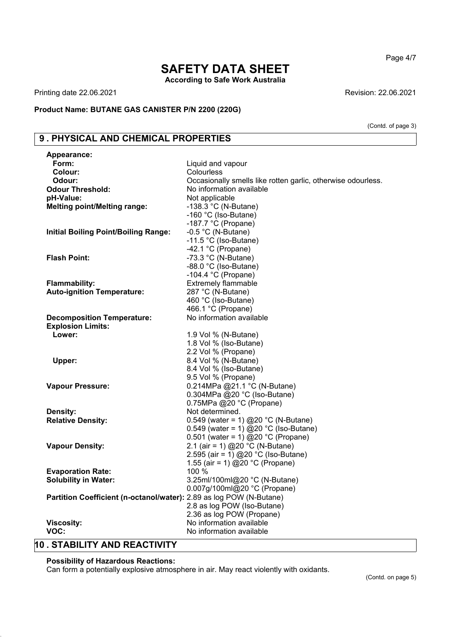# **SAFETY DATA SHEET According to Safe Work Australia**

Printing date 22.06.2021 **Revision: 22.06.2021** Revision: 22.06.2021

## **Product Name: BUTANE GAS CANISTER P/N 2200 (220G)**

# **9 . PHYSICAL AND CHEMICAL PROPERTIES**

| <b>Appearance:</b>                                                  |                                                              |
|---------------------------------------------------------------------|--------------------------------------------------------------|
| Form:                                                               | Liquid and vapour                                            |
| Colour:                                                             | Colourless                                                   |
| Odour:                                                              | Occasionally smells like rotten garlic, otherwise odourless. |
| <b>Odour Threshold:</b>                                             | No information available                                     |
| pH-Value:                                                           | Not applicable                                               |
| <b>Melting point/Melting range:</b>                                 | -138.3 °C (N-Butane)                                         |
|                                                                     | -160 °C (Iso-Butane)                                         |
|                                                                     | -187.7 $°C$ (Propane)                                        |
| <b>Initial Boiling Point/Boiling Range:</b>                         | $-0.5$ °C (N-Butane)                                         |
|                                                                     | -11.5 °C (Iso-Butane)                                        |
|                                                                     | -42.1 $°C$ (Propane)                                         |
| <b>Flash Point:</b>                                                 | -73.3 °C (N-Butane)                                          |
|                                                                     | -88.0 °C (Iso-Butane)                                        |
|                                                                     | -104.4 $^{\circ}$ C (Propane)                                |
| Flammability:                                                       | <b>Extremely flammable</b>                                   |
| <b>Auto-ignition Temperature:</b>                                   | 287 °C (N-Butane)                                            |
|                                                                     | 460 °C (Iso-Butane)                                          |
|                                                                     | 466.1 °C (Propane)                                           |
| <b>Decomposition Temperature:</b>                                   | No information available                                     |
| <b>Explosion Limits:</b>                                            |                                                              |
| Lower:                                                              | 1.9 Vol % (N-Butane)                                         |
|                                                                     | 1.8 Vol % (Iso-Butane)                                       |
|                                                                     | 2.2 Vol % (Propane)                                          |
| Upper:                                                              | 8.4 Vol % (N-Butane)                                         |
|                                                                     | 8.4 Vol % (Iso-Butane)                                       |
|                                                                     | 9.5 Vol % (Propane)                                          |
| <b>Vapour Pressure:</b>                                             | 0.214MPa @21.1 °C (N-Butane)                                 |
|                                                                     | 0.304MPa @20 °C (Iso-Butane)                                 |
|                                                                     | 0.75MPa @20 °C (Propane)                                     |
| Density:                                                            | Not determined.                                              |
| <b>Relative Density:</b>                                            | 0.549 (water = 1) @20 °C (N-Butane)                          |
|                                                                     | 0.549 (water = 1) @20 °C (Iso-Butane)                        |
|                                                                     | 0.501 (water = 1) @20 °C (Propane)                           |
| <b>Vapour Density:</b>                                              | 2.1 (air = 1) @20 °C (N-Butane)                              |
|                                                                     | 2.595 (air = $1)$ @20 °C (Iso-Butane)                        |
|                                                                     | 1.55 (air = 1) @20 °C (Propane)                              |
| <b>Evaporation Rate:</b>                                            | 100 %                                                        |
| <b>Solubility in Water:</b>                                         | 3.25ml/100ml@20 °C (N-Butane)                                |
|                                                                     | 0.007g/100ml@20 °C (Propane)                                 |
| Partition Coefficient (n-octanol/water): 2.89 as log POW (N-Butane) |                                                              |
|                                                                     | 2.8 as log POW (Iso-Butane)                                  |
|                                                                     | 2.36 as log POW (Propane)                                    |
| <b>Viscosity:</b>                                                   | No information available                                     |
| VOC:                                                                | No information available                                     |

# **10 . STABILITY AND REACTIVITY**

### **Possibility of Hazardous Reactions:**

Can form a potentially explosive atmosphere in air. May react violently with oxidants.

Page 4/7

(Contd. of page 3)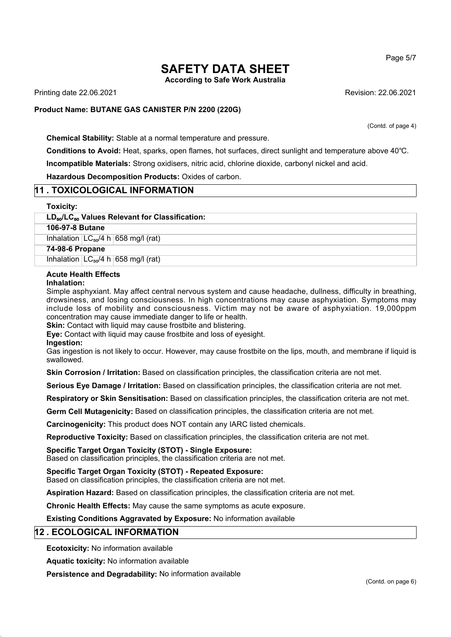**According to Safe Work Australia**

Printing date 22.06.2021 Revision: 22.06.2021

#### **Product Name: BUTANE GAS CANISTER P/N 2200 (220G)**

(Contd. of page 4)

**Chemical Stability:** Stable at a normal temperature and pressure.

**Conditions to Avoid:** Heat, sparks, open flames, hot surfaces, direct sunlight and temperature above 40℃. **Incompatible Materials:** Strong oxidisers, nitric acid, chlorine dioxide, carbonyl nickel and acid.

**Hazardous Decomposition Products:** Oxides of carbon.

## **11 . TOXICOLOGICAL INFORMATION**

#### **Toxicity:**

#### **LD**₅₀**/LC**₅₀ **Values Relevant for Classification:**

**106-97-8 Butane**

Inhalation  $LC_{50}/4$  h 658 mg/l (rat)

**74-98-6 Propane**

Inhalation  $LC_{50}/4$  h 658 mg/l (rat)

#### **Acute Health Effects**

#### **Inhalation:**

Simple asphyxiant. May affect central nervous system and cause headache, dullness, difficulty in breathing, drowsiness, and losing consciousness. In high concentrations may cause asphyxiation. Symptoms may include loss of mobility and consciousness. Victim may not be aware of asphyxiation. 19,000ppm concentration may cause immediate danger to life or health.

**Skin:** Contact with liquid may cause frostbite and blistering.

**Eye:** Contact with liquid may cause frostbite and loss of eyesight.

**Ingestion:**

Gas ingestion is not likely to occur. However, may cause frostbite on the lips, mouth, and membrane if liquid is swallowed.

**Skin Corrosion / Irritation:** Based on classification principles, the classification criteria are not met.

**Serious Eye Damage / Irritation:** Based on classification principles, the classification criteria are not met.

**Respiratory or Skin Sensitisation:** Based on classification principles, the classification criteria are not met.

**Germ Cell Mutagenicity:** Based on classification principles, the classification criteria are not met.

**Carcinogenicity:** This product does NOT contain any IARC listed chemicals.

**Reproductive Toxicity:** Based on classification principles, the classification criteria are not met.

**Specific Target Organ Toxicity (STOT) - Single Exposure:**

Based on classification principles, the classification criteria are not met.

**Specific Target Organ Toxicity (STOT) - Repeated Exposure:**

Based on classification principles, the classification criteria are not met.

**Aspiration Hazard:** Based on classification principles, the classification criteria are not met.

**Chronic Health Effects:** May cause the same symptoms as acute exposure.

**Existing Conditions Aggravated by Exposure:** No information available

## **12 . ECOLOGICAL INFORMATION**

**Ecotoxicity:** No information available

**Aquatic toxicity:** No information available

**Persistence and Degradability:** No information available

Page 5/7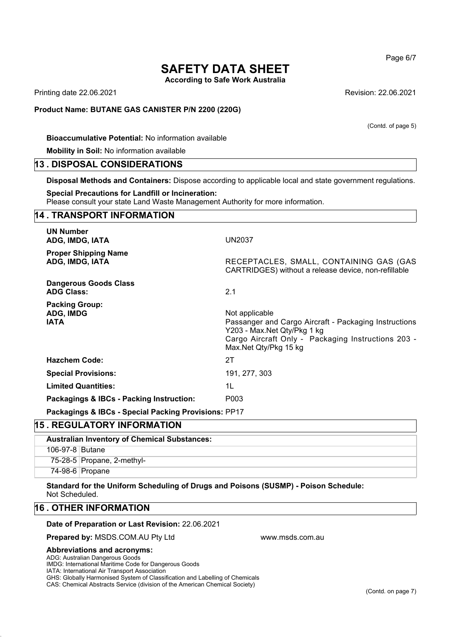**According to Safe Work Australia**

Printing date 22.06.2021 Revision: 22.06.2021

#### **Product Name: BUTANE GAS CANISTER P/N 2200 (220G)**

**Bioaccumulative Potential:** No information available

**Mobility in Soil:** No information available

## **13 . DISPOSAL CONSIDERATIONS**

**Disposal Methods and Containers:** Dispose according to applicable local and state government regulations.

#### **Special Precautions for Landfill or Incineration:**

Please consult your state Land Waste Management Authority for more information.

# **14 . TRANSPORT INFORMATION UN Number ADG, IMDG, IATA** UN2037 **Proper Shipping Name ADG, IMDG, IATA** RECEPTACLES, SMALL, CONTAINING GAS (GAS CARTRIDGES) without a release device, non-refillable **Dangerous Goods Class ADG Class:** 2.1 **Packing Group:** ADG, IMDG **Not applicable** Not applicable **IATA Passanger and Cargo Aircraft - Packaging Instructions** Y203 - Max.Net Qty/Pkg 1 kg Cargo Aircraft Only - Packaging Instructions 203 - Max.Net Qty/Pkg 15 kg **Hazchem Code:** 2T **Special Provisions:** 191, 277, 303 **Limited Quantities:** 1L **Packagings & IBCs - Packing Instruction:** P003 **Packagings & IBCs - Special Packing Provisions:** PP17

## **15 . REGULATORY INFORMATION**

| <b>Australian Inventory of Chemical Substances:</b> |                            |  |
|-----------------------------------------------------|----------------------------|--|
| 106-97-8 Butane                                     |                            |  |
|                                                     | 75-28-5 Propane, 2-methyl- |  |
|                                                     | 74-98-6 Propane            |  |

www.msds.com.au

**Standard for the Uniform Scheduling of Drugs and Poisons (SUSMP) - Poison Schedule:** Not Scheduled.

## **16 . OTHER INFORMATION**

#### **Date of Preparation or Last Revision:** 22.06.2021

**Prepared by:** MSDS.COM.AU Pty Ltd

#### **Abbreviations and acronyms:**

ADG: Australian Dangerous Goods

IMDG: International Maritime Code for Dangerous Goods

IATA: International Air Transport Association

GHS: Globally Harmonised System of Classification and Labelling of Chemicals

CAS: Chemical Abstracts Service (division of the American Chemical Society)

Page 6/7

(Contd. on page 7)

### (Contd. of page 5)